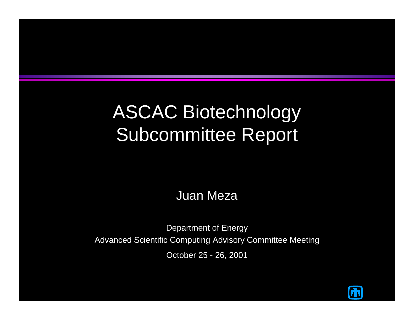### ASCAC Biotechnology Subcommittee Report

Juan Meza

Department of Energy Advanced Scientific Computing Advisory Committee Meeting October 25 - 26, 2001

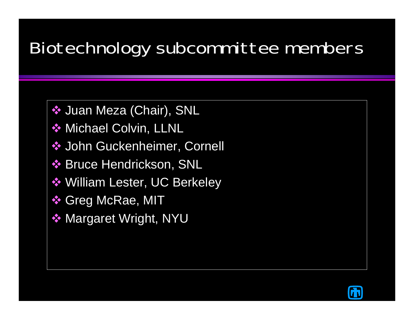#### Biotechnology subcommittee members

**❖ Juan Meza (Chair), SNL** 

- **❖ Michael Colvin, LLNL**
- **❖ John Guckenheimer, Cornell**
- **❖ Bruce Hendrickson, SNL**
- William Lester, UC Berkeley
- **❖ Greg McRae, MIT**
- **❖ Margaret Wright, NYU**

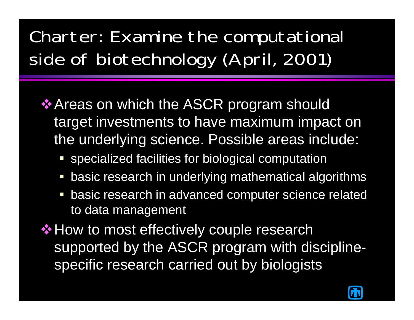# Charter: Examine the computational side of biotechnology (April, 2001)

- **Areas on which the ASCR program should** target investments to have maximum impact on the underlying science. Possible areas include:
	- **SPECIALED FACTALLER FOR DEATABLE PROTECY SPECIALIZED FACTALLER**
	- basic research in underlying mathematical algorithms
	- **basic research in advanced computer science related** to data management

**\*How to most effectively couple research** supported by the ASCR program with disciplinespecific research carried out by biologists

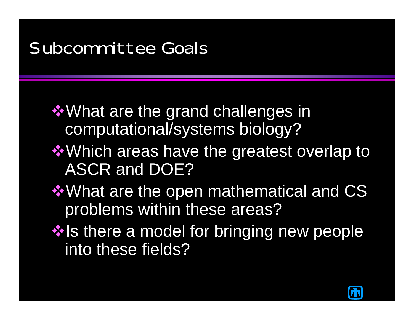#### Subcommittee Goals

- $\dots$  **What are the grand challenges in** computational/systems biology?
- $\dots$  **Which areas have the greatest overlap to** ASCR and DOE?
- $\dots$  **What are the open mathematical and CS** problems within these areas?
- $\cdot$  Is there a model for bringing new people into these fields?

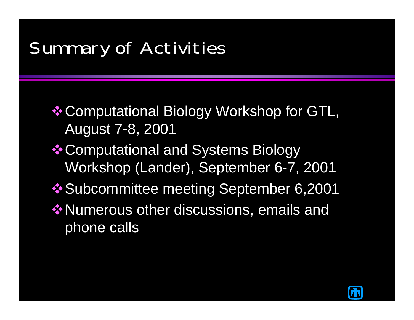#### Summary of Activities

**\* Computational Biology Workshop for GTL,** August 7-8, 2001

- **❖ Computational and Systems Biology** Workshop (Lander), September 6-7, 2001
- $\cdot$  **Subcommittee meeting September 6,2001**
- **❖ Numerous other discussions, emails and** phone calls

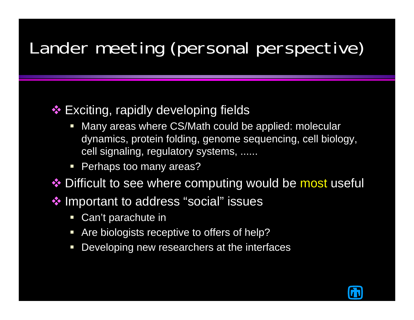## Lander meeting (personal perspective)

#### ❖ Exciting, rapidly developing fields

- Many areas where CS/Math could be applied: molecular dynamics, protein folding, genome sequencing, cell biology, cell signaling, regulatory systems, ......
- Perhaps too many areas?

❖ Difficult to see where computing would be most useful

❖ Important to address "social" issues

- **Can't parachute in**
- **Are biologists receptive to offers of help?**
- $\Box$ Developing new researchers at the interfaces